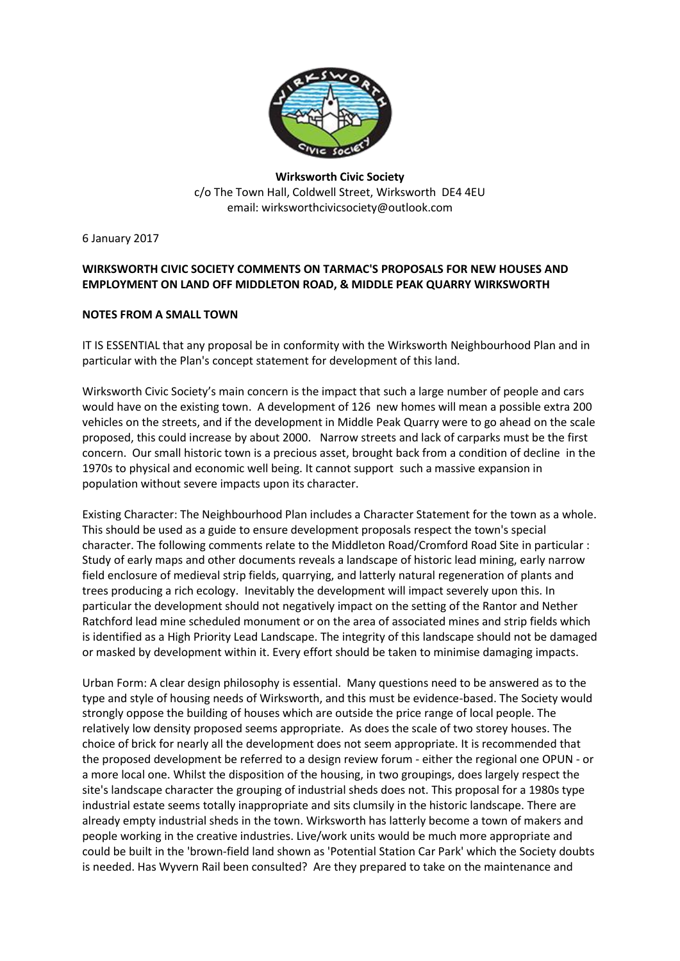

## **Wirksworth Civic Society** c/o The Town Hall, Coldwell Street, Wirksworth DE4 4EU email: [wirksworthcivicsociety@outlook.com](mailto:wirksworthcivicsociety@outlook.com)

6 January 2017

## **WIRKSWORTH CIVIC SOCIETY COMMENTS ON TARMAC'S PROPOSALS FOR NEW HOUSES AND EMPLOYMENT ON LAND OFF MIDDLETON ROAD, & MIDDLE PEAK QUARRY WIRKSWORTH**

## **NOTES FROM A SMALL TOWN**

IT IS ESSENTIAL that any proposal be in conformity with the Wirksworth Neighbourhood Plan and in particular with the Plan's concept statement for development of this land.

Wirksworth Civic Society's main concern is the impact that such a large number of people and cars would have on the existing town. A development of 126 new homes will mean a possible extra 200 vehicles on the streets, and if the development in Middle Peak Quarry were to go ahead on the scale proposed, this could increase by about 2000. Narrow streets and lack of carparks must be the first concern. Our small historic town is a precious asset, brought back from a condition of decline in the 1970s to physical and economic well being. It cannot support such a massive expansion in population without severe impacts upon its character.

Existing Character: The Neighbourhood Plan includes a Character Statement for the town as a whole. This should be used as a guide to ensure development proposals respect the town's special character. The following comments relate to the Middleton Road/Cromford Road Site in particular : Study of early maps and other documents reveals a landscape of historic lead mining, early narrow field enclosure of medieval strip fields, quarrying, and latterly natural regeneration of plants and trees producing a rich ecology. Inevitably the development will impact severely upon this. In particular the development should not negatively impact on the setting of the Rantor and Nether Ratchford lead mine scheduled monument or on the area of associated mines and strip fields which is identified as a High Priority Lead Landscape. The integrity of this landscape should not be damaged or masked by development within it. Every effort should be taken to minimise damaging impacts.

Urban Form: A clear design philosophy is essential. Many questions need to be answered as to the type and style of housing needs of Wirksworth, and this must be evidence-based. The Society would strongly oppose the building of houses which are outside the price range of local people. The relatively low density proposed seems appropriate. As does the scale of two storey houses. The choice of brick for nearly all the development does not seem appropriate. It is recommended that the proposed development be referred to a design review forum - either the regional one OPUN - or a more local one. Whilst the disposition of the housing, in two groupings, does largely respect the site's landscape character the grouping of industrial sheds does not. This proposal for a 1980s type industrial estate seems totally inappropriate and sits clumsily in the historic landscape. There are already empty industrial sheds in the town. Wirksworth has latterly become a town of makers and people working in the creative industries. Live/work units would be much more appropriate and could be built in the 'brown-field land shown as 'Potential Station Car Park' which the Society doubts is needed. Has Wyvern Rail been consulted? Are they prepared to take on the maintenance and